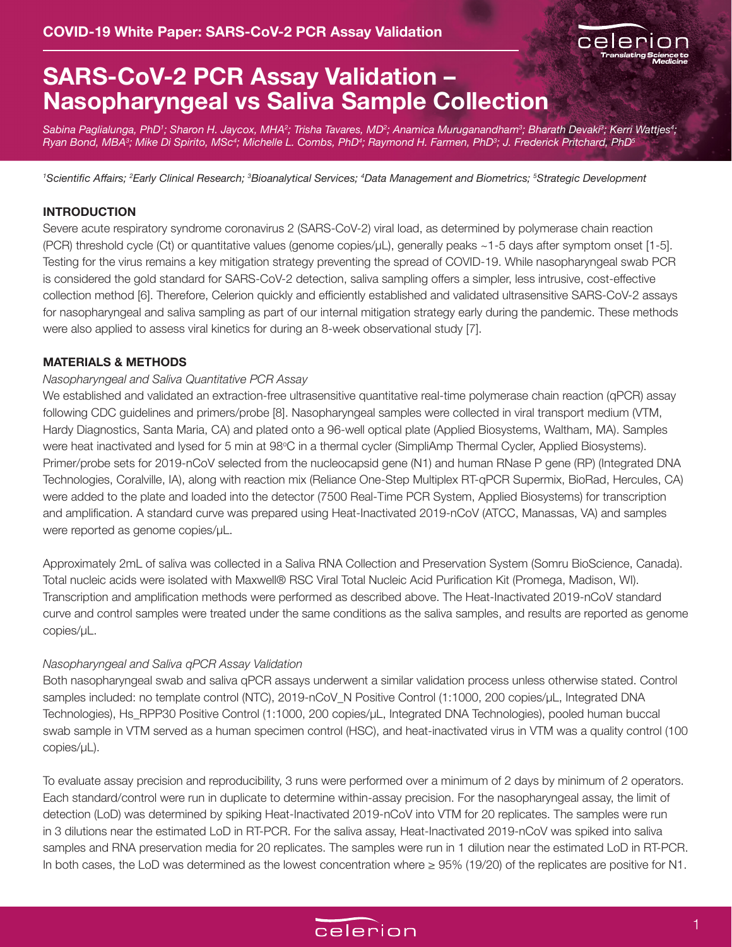

# **SARS-CoV-2 PCR Assay Validation – Nasopharyngeal vs Saliva Sample Collection**

Sabina Paglialunga, PhD'; Sharon H. Jaycox, MHA²; Trisha Tavares, MD²; Anamica Muruganandham<sup>3</sup>; Bharath Devaki<sup>3</sup>; Kerri Wattjes<sup>4</sup>; *Ryan Bond, MBA3 ; Mike Di Spirito, MSc4 ; Michelle L. Combs, PhD4 ; Raymond H. Farmen, PhD3 ; J. Frederick Pritchard, PhD5*

*1 Scientific Affairs; <sup>2</sup> Early Clinical Research; 3 Bioanalytical Services; 4 Data Management and Biometrics; 5 Strategic Development*

#### **INTRODUCTION**

Severe acute respiratory syndrome coronavirus 2 (SARS-CoV-2) viral load, as determined by polymerase chain reaction (PCR) threshold cycle (Ct) or quantitative values (genome copies/µL), generally peaks ~1-5 days after symptom onset [1-5]. Testing for the virus remains a key mitigation strategy preventing the spread of COVID-19. While nasopharyngeal swab PCR is considered the gold standard for SARS-CoV-2 detection, saliva sampling offers a simpler, less intrusive, cost-effective collection method [6]. Therefore, Celerion quickly and efficiently established and validated ultrasensitive SARS-CoV-2 assays for nasopharyngeal and saliva sampling as part of our internal mitigation strategy early during the pandemic. These methods were also applied to assess viral kinetics for during an 8-week observational study [7].

#### **MATERIALS & METHODS**

#### *Nasopharyngeal and Saliva Quantitative PCR Assay*

We established and validated an extraction-free ultrasensitive quantitative real-time polymerase chain reaction (qPCR) assay following CDC guidelines and primers/probe [8]. Nasopharyngeal samples were collected in viral transport medium (VTM, Hardy Diagnostics, Santa Maria, CA) and plated onto a 96-well optical plate (Applied Biosystems, Waltham, MA). Samples were heat inactivated and lysed for 5 min at 98°C in a thermal cycler (SimpliAmp Thermal Cycler, Applied Biosystems). Primer/probe sets for 2019-nCoV selected from the nucleocapsid gene (N1) and human RNase P gene (RP) (Integrated DNA Technologies, Coralville, IA), along with reaction mix (Reliance One-Step Multiplex RT-qPCR Supermix, BioRad, Hercules, CA) were added to the plate and loaded into the detector (7500 Real-Time PCR System, Applied Biosystems) for transcription and amplification. A standard curve was prepared using Heat-Inactivated 2019-nCoV (ATCC, Manassas, VA) and samples were reported as genome copies/µL.

Approximately 2mL of saliva was collected in a Saliva RNA Collection and Preservation System (Somru BioScience, Canada). Total nucleic acids were isolated with Maxwell® RSC Viral Total Nucleic Acid Purification Kit (Promega, Madison, WI). Transcription and amplification methods were performed as described above. The Heat-Inactivated 2019-nCoV standard curve and control samples were treated under the same conditions as the saliva samples, and results are reported as genome copies/µL.

#### *Nasopharyngeal and Saliva qPCR Assay Validation*

Both nasopharyngeal swab and saliva qPCR assays underwent a similar validation process unless otherwise stated. Control samples included: no template control (NTC), 2019-nCoV N Positive Control (1:1000, 200 copies/µL, Integrated DNA Technologies), Hs\_RPP30 Positive Control (1:1000, 200 copies/µL, Integrated DNA Technologies), pooled human buccal swab sample in VTM served as a human specimen control (HSC), and heat-inactivated virus in VTM was a quality control (100 copies/uL).

To evaluate assay precision and reproducibility, 3 runs were performed over a minimum of 2 days by minimum of 2 operators. Each standard/control were run in duplicate to determine within-assay precision. For the nasopharyngeal assay, the limit of detection (LoD) was determined by spiking Heat-Inactivated 2019-nCoV into VTM for 20 replicates. The samples were run in 3 dilutions near the estimated LoD in RT-PCR. For the saliva assay, Heat-Inactivated 2019-nCoV was spiked into saliva samples and RNA preservation media for 20 replicates. The samples were run in 1 dilution near the estimated LoD in RT-PCR. In both cases, the LoD was determined as the lowest concentration where ≥ 95% (19/20) of the replicates are positive for N1.

# celerion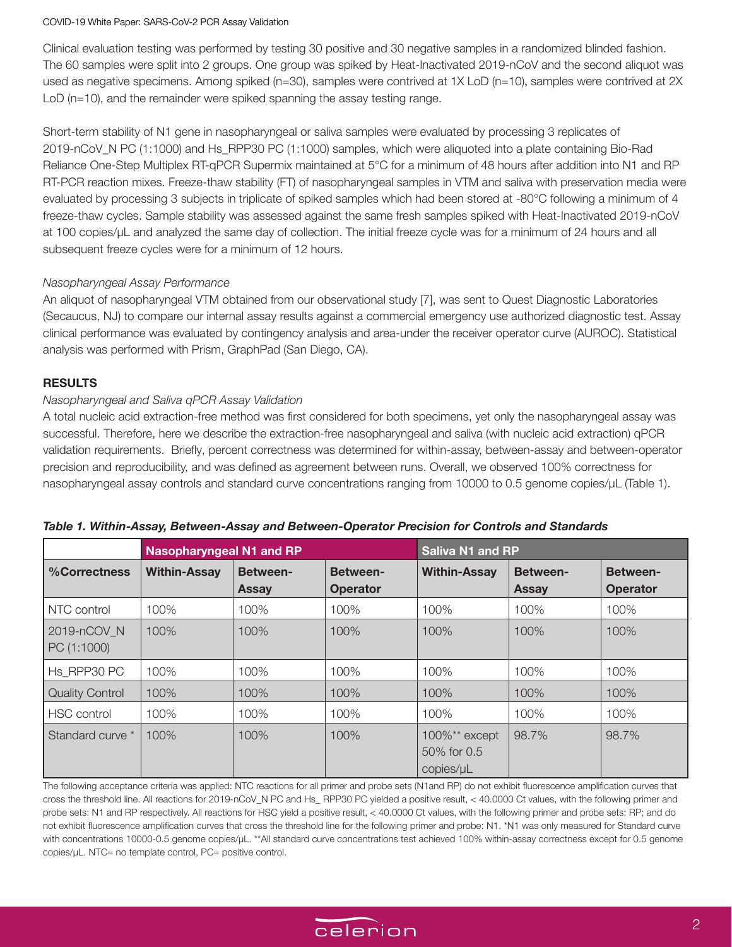#### COVID-19 White Paper: SARS-CoV-2 PCR Assay Validation

Clinical evaluation testing was performed by testing 30 positive and 30 negative samples in a randomized blinded fashion. The 60 samples were split into 2 groups. One group was spiked by Heat-Inactivated 2019-nCoV and the second aliquot was used as negative specimens. Among spiked (n=30), samples were contrived at 1X LoD (n=10), samples were contrived at 2X LoD (n=10), and the remainder were spiked spanning the assay testing range.

Short-term stability of N1 gene in nasopharyngeal or saliva samples were evaluated by processing 3 replicates of 2019-nCoV\_N PC (1:1000) and Hs\_RPP30 PC (1:1000) samples, which were aliquoted into a plate containing Bio-Rad Reliance One-Step Multiplex RT-qPCR Supermix maintained at 5°C for a minimum of 48 hours after addition into N1 and RP RT-PCR reaction mixes. Freeze-thaw stability (FT) of nasopharyngeal samples in VTM and saliva with preservation media were evaluated by processing 3 subjects in triplicate of spiked samples which had been stored at -80°C following a minimum of 4 freeze-thaw cycles. Sample stability was assessed against the same fresh samples spiked with Heat-Inactivated 2019-nCoV at 100 copies/µL and analyzed the same day of collection. The initial freeze cycle was for a minimum of 24 hours and all subsequent freeze cycles were for a minimum of 12 hours.

# *Nasopharyngeal Assay Performance*

An aliquot of nasopharyngeal VTM obtained from our observational study [7], was sent to Quest Diagnostic Laboratories (Secaucus, NJ) to compare our internal assay results against a commercial emergency use authorized diagnostic test. Assay clinical performance was evaluated by contingency analysis and area-under the receiver operator curve (AUROC). Statistical analysis was performed with Prism, GraphPad (San Diego, CA).

### **RESULTS**

# *Nasopharyngeal and Saliva qPCR Assay Validation*

A total nucleic acid extraction-free method was first considered for both specimens, yet only the nasopharyngeal assay was successful. Therefore, here we describe the extraction-free nasopharyngeal and saliva (with nucleic acid extraction) qPCR validation requirements. Briefly, percent correctness was determined for within-assay, between-assay and between-operator precision and reproducibility, and was defined as agreement between runs. Overall, we observed 100% correctness for nasopharyngeal assay controls and standard curve concentrations ranging from 10000 to 0.5 genome copies/µL (Table 1).

|                            | <b>Nasopharyngeal N1 and RP</b> |                                 | <b>Saliva N1 and RP</b>            |                                               |                                 |                                    |
|----------------------------|---------------------------------|---------------------------------|------------------------------------|-----------------------------------------------|---------------------------------|------------------------------------|
| %Correctness               | <b>Within-Assay</b>             | <b>Between-</b><br><b>Assay</b> | <b>Between-</b><br><b>Operator</b> | <b>Within-Assay</b>                           | <b>Between-</b><br><b>Assay</b> | <b>Between-</b><br><b>Operator</b> |
| NTC control                | 100%                            | 100%                            | 100%                               | 100%                                          | 100%                            | 100%                               |
| 2019-nCOV N<br>PC (1:1000) | 100%                            | 100%                            | 100%                               | 100%                                          | 100%                            | 100%                               |
| Hs RPP30 PC                | 100%                            | 100%                            | 100%                               | 100%                                          | 100%                            | 100%                               |
| <b>Quality Control</b>     | 100%                            | 100%                            | 100%                               | 100%                                          | 100%                            | 100%                               |
| HSC control                | 100%                            | 100%                            | 100%                               | 100%                                          | 100%                            | 100%                               |
| Standard curve *           | 100%                            | 100%                            | 100%                               | $100\%$ ** except<br>50% for 0.5<br>copies/µL | 98.7%                           | 98.7%                              |

The following acceptance criteria was applied: NTC reactions for all primer and probe sets (N1and RP) do not exhibit fluorescence amplification curves that cross the threshold line. All reactions for 2019-nCoV\_N PC and Hs\_ RPP30 PC yielded a positive result, < 40.0000 Ct values, with the following primer and probe sets: N1 and RP respectively. All reactions for HSC yield a positive result, < 40.0000 Ct values, with the following primer and probe sets: RP; and do not exhibit fluorescence amplification curves that cross the threshold line for the following primer and probe: N1. \*N1 was only measured for Standard curve with concentrations 10000-0.5 genome copies/µL. \*\*All standard curve concentrations test achieved 100% within-assay correctness except for 0.5 genome copies/µL. NTC= no template control, PC= positive control.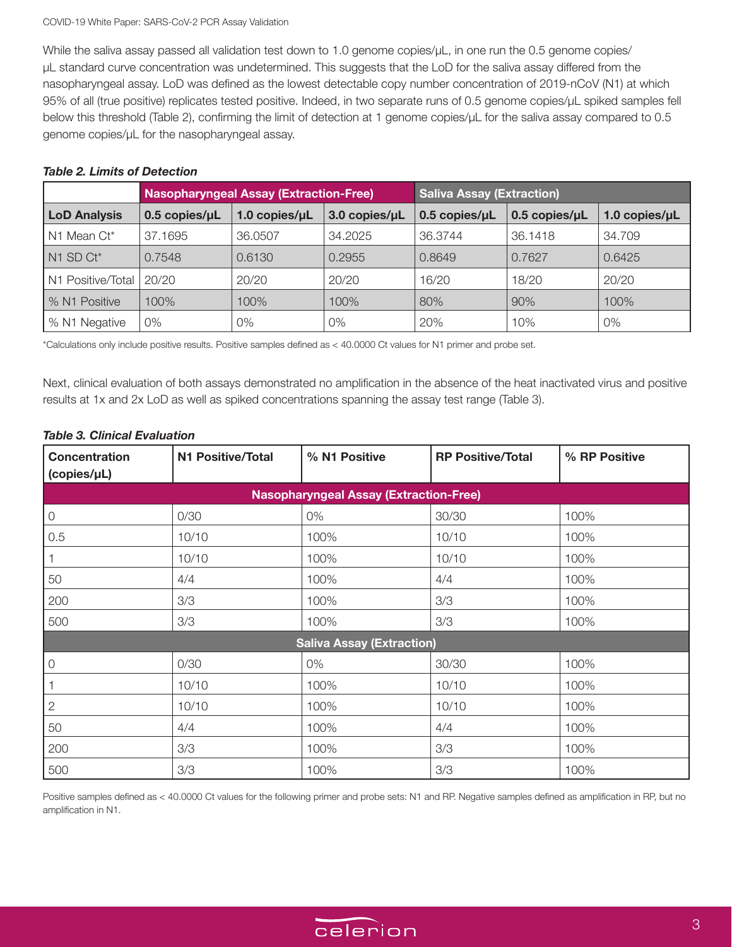While the saliva assay passed all validation test down to 1.0 genome copies/µL, in one run the 0.5 genome copies/ µL standard curve concentration was undetermined. This suggests that the LoD for the saliva assay differed from the nasopharyngeal assay. LoD was defined as the lowest detectable copy number concentration of 2019-nCoV (N1) at which 95% of all (true positive) replicates tested positive. Indeed, in two separate runs of 0.5 genome copies/µL spiked samples fell below this threshold (Table 2), confirming the limit of detection at 1 genome copies/µL for the saliva assay compared to 0.5 genome copies/µL for the nasopharyngeal assay.

# *Table 2. Limits of Detection*

|                     | <b>Nasopharyngeal Assay (Extraction-Free)</b> |                       | <b>Saliva Assay (Extraction)</b> |                       |                       |               |
|---------------------|-----------------------------------------------|-----------------------|----------------------------------|-----------------------|-----------------------|---------------|
| <b>LoD Analysis</b> | $0.5$ copies/ $\mu$ L                         | $1.0$ copies/ $\mu$ L | 3.0 copies/uL                    | $0.5$ copies/ $\mu$ L | $0.5$ copies/ $\mu$ L | 1.0 copies/uL |
| N1 Mean Ct*         | 37.1695                                       | 36.0507               | 34.2025                          | 36.3744               | 36.1418               | 34.709        |
| N1 SD Ct*           | 0.7548                                        | 0.6130                | 0.2955                           | 0.8649                | 0.7627                | 0.6425        |
| N1 Positive/Total   | 20/20                                         | 20/20                 | 20/20                            | 16/20                 | 18/20                 | 20/20         |
| % N1 Positive       | 100%                                          | 100%                  | 100%                             | 80%                   | 90%                   | 100%          |
| % N1 Negative       | $0\%$                                         | 0%                    | 0%                               | 20%                   | 10%                   | 0%            |

\*Calculations only include positive results. Positive samples defined as < 40.0000 Ct values for N1 primer and probe set.

Next, clinical evaluation of both assays demonstrated no amplification in the absence of the heat inactivated virus and positive results at 1x and 2x LoD as well as spiked concentrations spanning the assay test range (Table 3).

# **Concentration (copies/µL) N1 Positive/Total % N1 Positive RP Positive/Total % RP Positive Nasopharyngeal Assay (Extraction-Free)**

## *Table 3. Clinical Evaluation*

| $\overline{0}$                   | 0/30  | 0%   | 30/30 | 100% |  |
|----------------------------------|-------|------|-------|------|--|
| 0.5                              | 10/10 | 100% | 10/10 | 100% |  |
|                                  | 10/10 | 100% | 10/10 | 100% |  |
| 50                               | 4/4   | 100% | 4/4   | 100% |  |
| 200                              | 3/3   | 100% | 3/3   | 100% |  |
| 500                              | 3/3   | 100% | 3/3   | 100% |  |
| <b>Saliva Assay (Extraction)</b> |       |      |       |      |  |
| $\mathcal{O}$                    | 0/30  | 0%   | 30/30 | 100% |  |
|                                  | 10/10 | 100% | 10/10 | 100% |  |
| $\overline{2}$                   | 10/10 | 100% | 10/10 | 100% |  |
| 50                               | 4/4   | 100% | 4/4   | 100% |  |
| 200                              | 3/3   | 100% | 3/3   | 100% |  |
| 500                              | 3/3   | 100% | 3/3   | 100% |  |

Positive samples defined as < 40.0000 Ct values for the following primer and probe sets: N1 and RP. Negative samples defined as amplification in RP, but no amplification in N1.

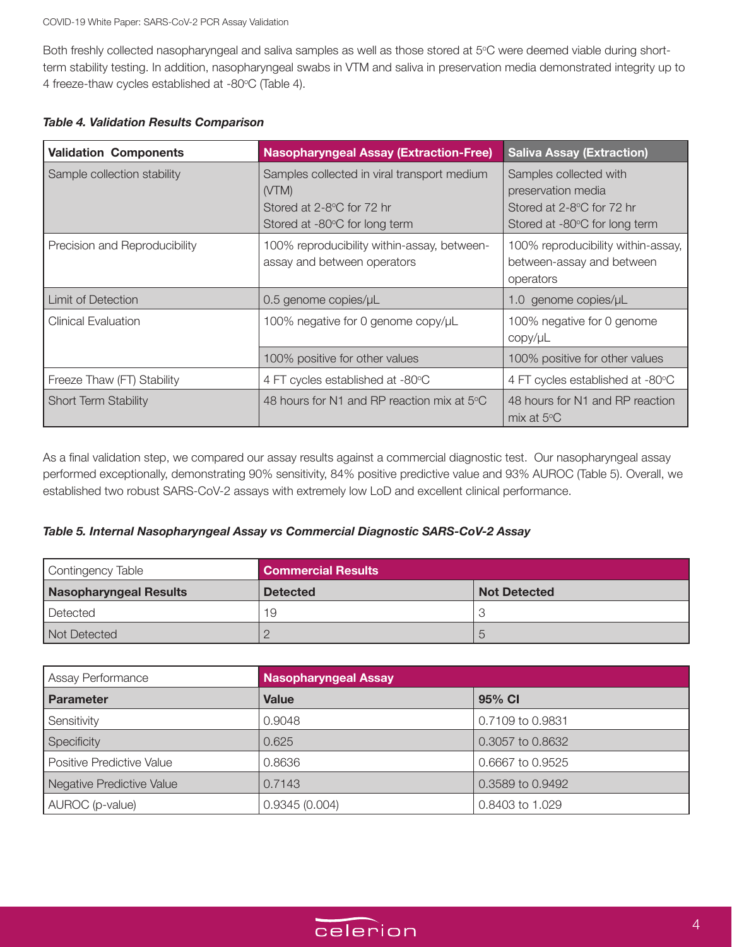Both freshly collected nasopharyngeal and saliva samples as well as those stored at 5°C were deemed viable during shortterm stability testing. In addition, nasopharyngeal swabs in VTM and saliva in preservation media demonstrated integrity up to 4 freeze-thaw cycles established at -80°C (Table 4).

| <b>Validation Components</b>  | <b>Nasopharyngeal Assay (Extraction-Free)</b>                                                                      | <b>Saliva Assay (Extraction)</b>                                                                           |
|-------------------------------|--------------------------------------------------------------------------------------------------------------------|------------------------------------------------------------------------------------------------------------|
| Sample collection stability   | Samples collected in viral transport medium<br>(VTM)<br>Stored at 2-8°C for 72 hr<br>Stored at -80°C for long term | Samples collected with<br>preservation media<br>Stored at 2-8°C for 72 hr<br>Stored at -80°C for long term |
| Precision and Reproducibility | 100% reproducibility within-assay, between-<br>assay and between operators                                         | 100% reproducibility within-assay,<br>between-assay and between<br>operators                               |
| Limit of Detection            | 0.5 genome copies/µL                                                                                               | 1.0 genome copies/µL                                                                                       |
| <b>Clinical Evaluation</b>    | 100% negative for 0 genome copy/µL                                                                                 | 100% negative for 0 genome<br>copy/µL                                                                      |
|                               | 100% positive for other values                                                                                     | 100% positive for other values                                                                             |
| Freeze Thaw (FT) Stability    | 4 FT cycles established at -80°C                                                                                   | 4 FT cycles established at -80°C                                                                           |
| <b>Short Term Stability</b>   | 48 hours for N1 and RP reaction mix at $5^{\circ}$ C                                                               | 48 hours for N1 and RP reaction<br>mix at $5^{\circ}$ C                                                    |

As a final validation step, we compared our assay results against a commercial diagnostic test. Our nasopharyngeal assay performed exceptionally, demonstrating 90% sensitivity, 84% positive predictive value and 93% AUROC (Table 5). Overall, we established two robust SARS-CoV-2 assays with extremely low LoD and excellent clinical performance.

# *Table 5. Internal Nasopharyngeal Assay vs Commercial Diagnostic SARS-CoV-2 Assay*

| Contingency Table             | <b>Commercial Results</b> |                     |  |
|-------------------------------|---------------------------|---------------------|--|
| <b>Nasopharyngeal Results</b> | <b>Detected</b>           | <b>Not Detected</b> |  |
| Detected                      | 19                        |                     |  |
| Not Detected                  |                           |                     |  |

| Assay Performance                | <b>Nasopharyngeal Assay</b> |                  |  |
|----------------------------------|-----------------------------|------------------|--|
| <b>Parameter</b>                 | Value                       | 95% CI           |  |
| Sensitivity                      | 0.9048                      | 0.7109 to 0.9831 |  |
| Specificity                      | 0.625                       | 0.3057 to 0.8632 |  |
| <b>Positive Predictive Value</b> | 0.8636                      | 0.6667 to 0.9525 |  |
| Negative Predictive Value        | 0.7143                      | 0.3589 to 0.9492 |  |
| AUROC (p-value)                  | 0.9345(0.004)               | 0.8403 to 1.029  |  |